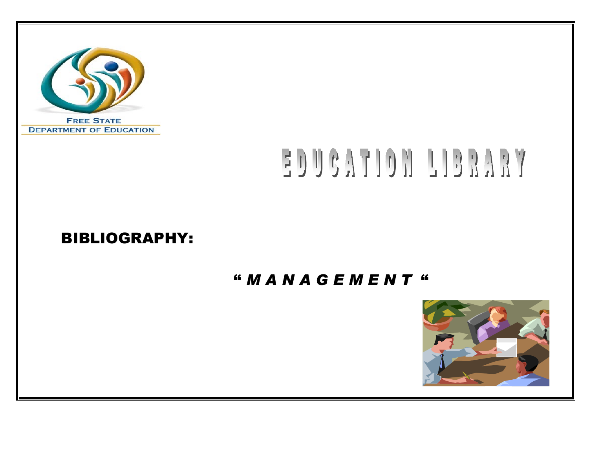

# EDUCATION LIBRARY

# BIBLIOGRAPHY:

# " *M A N A G E M E N T* "

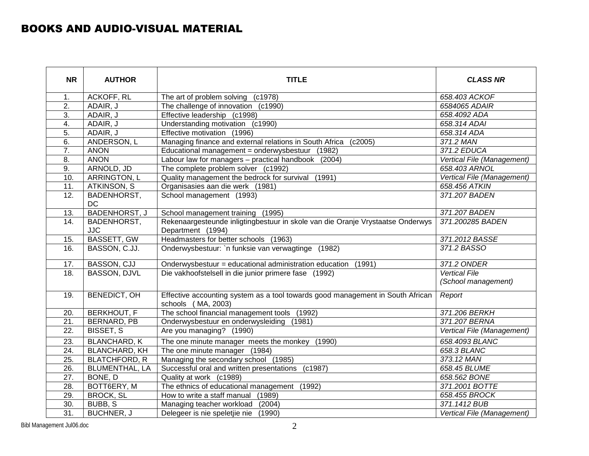#### BOOKS AND AUDIO-VISUAL MATERIAL

| <b>NR</b>         | <b>AUTHOR</b>                   | <b>TITLE</b>                                                                                         | <b>CLASS NR</b>                             |
|-------------------|---------------------------------|------------------------------------------------------------------------------------------------------|---------------------------------------------|
| 1.                | ACKOFF, RL                      | The art of problem solving (c1978)                                                                   | 658.403 ACKOF                               |
| $\overline{2}$ .  | ADAIR, J                        | The challenge of innovation (c1990)                                                                  | 6584065 ADAIR                               |
| 3.                | ADAIR, J                        | Effective leadership (c1998)                                                                         | 658.4092 ADA                                |
| 4.                | ADAIR, J                        | Understanding motivation (c1990)                                                                     | 658.314 ADAI                                |
| 5.                | ADAIR, J                        | Effective motivation (1996)                                                                          | 658.314 ADA                                 |
| 6.                | ANDERSON, L                     | Managing finance and external relations in South Africa (c2005)                                      | 371.2 MAN                                   |
| $\overline{7}$ .  | <b>ANON</b>                     | Educational management = onderwysbestuur (1982)                                                      | 371.2 EDUCA                                 |
| 8.                | <b>ANON</b>                     | Labour law for managers - practical handbook<br>(2004)                                               | Vertical File (Management)                  |
| $\overline{9}$ .  | ARNOLD, JD                      | The complete problem solver (c1992)                                                                  | 658.403 ARNOL                               |
| 10.               | ARRINGTON, L                    | Quality management the bedrock for survival (1991)                                                   | Vertical File (Management)                  |
| 11.               | ATKINSON, S                     | Organisasies aan die werk (1981)                                                                     | 658.456 ATKIN                               |
| $\overline{12}$ . | <b>BADENHORST,</b><br><b>DC</b> | School management (1993)                                                                             | 371.207 BADEN                               |
| 13.               | <b>BADENHORST, J</b>            | School management training (1995)                                                                    | 371.207 BADEN                               |
| 14.               | BADENHORST,<br><b>JJC</b>       | Rekenaargesteunde inligtingbestuur in skole van die Oranje Vrystaatse Onderwys<br>Department (1994)  | 371.200285 BADEN                            |
| 15.               | <b>BASSETT, GW</b>              | Headmasters for better schools (1963)                                                                | 371.2012 BASSE                              |
| 16.               | BASSON, C.JJ.                   | Onderwysbestuur: `n funksie van verwagtinge (1982)                                                   | 371.2 BASSO                                 |
| 17.               | BASSON, CJJ                     | Onderwysbestuur = educational administration education (1991)                                        | 371.2 ONDER                                 |
| 18.               | <b>BASSON, DJVL</b>             | Die vakhoofstelsell in die junior primere fase (1992)                                                | <b>Vertical File</b><br>(School management) |
| 19.               | <b>BENEDICT, OH</b>             | Effective accounting system as a tool towards good management in South African<br>schools (MA, 2003) | Report                                      |
| 20.               | <b>BERKHOUT, F</b>              | The school financial management tools (1992)                                                         | 371.206 BERKH                               |
| 21.               | BERNARD, PB                     | Onderwysbestuur en onderwysleiding (1981)                                                            | 371.207 BERNA                               |
| 22.               | <b>BISSET, S</b>                | Are you managing? (1990)                                                                             | Vertical File (Management)                  |
| 23.               | <b>BLANCHARD, K</b>             | The one minute manager meets the monkey (1990)                                                       | 658.4093 BLANC                              |
| 24.               | <b>BLANCHARD, KH</b>            | The one minute manager (1984)                                                                        | 658.3 BLANC                                 |
| 25.               | <b>BLATCHFORD, R</b>            | Managing the secondary school (1985)                                                                 | 373.12 MAN                                  |
| 26.               | <b>BLUMENTHAL, LA</b>           | Successful oral and written presentations (c1987)                                                    | 658.45 BLUME                                |
| 27.               | BONE, D                         | Quality at work (c1989)                                                                              | 658.562 BONE                                |
| 28.               | BOTT6ERY, M                     | The ethnics of educational management (1992)                                                         | 371.2001 BOTTE                              |
| 29.               | <b>BROCK, SL</b>                | How to write a staff manual<br>(1989)                                                                | 658.455 BROCK                               |
| 30.               | BUBB, S                         | Managing teacher workload<br>(2004)                                                                  | 371.1412 BUB                                |
| $\overline{31}$ . | <b>BUCHNER, J</b>               | (1990)<br>Delegeer is nie speletjie nie                                                              | Vertical File (Management)                  |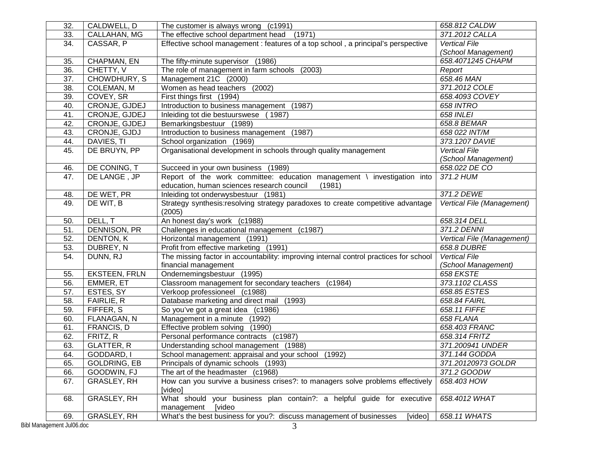| 32.                            | CALDWELL, D          | The customer is always wrong (c1991)                                                          | 658.812 CALDW              |  |
|--------------------------------|----------------------|-----------------------------------------------------------------------------------------------|----------------------------|--|
| 33.                            | CALLAHAN, MG         | The effective school department head (1971)                                                   | 371.2012 CALLA             |  |
| 34.                            | CASSAR, P            | Effective school management : features of a top school, a principal's perspective             | <b>Vertical File</b>       |  |
|                                |                      |                                                                                               | (School Management)        |  |
| 35.                            | CHAPMAN, EN          | The fifty-minute supervisor (1986)                                                            | 658.4071245 CHAPM          |  |
| 36.                            | CHETTY, V            | The role of management in farm schools<br>(2003)                                              | Report                     |  |
| 37.                            | CHOWDHURY, S         | Management 21C (2000)                                                                         | 658.46 MAN                 |  |
| $\overline{38}$ .              | COLEMAN, M           | Women as head teachers (2002)                                                                 | 371.2012 COLE              |  |
| 39.                            | COVEY, SR            | First things first (1994)                                                                     | 658.4093 COVEY             |  |
| 40.                            | CRONJE, GJDEJ        | Introduction to business management (1987)                                                    | <b>658 INTRO</b>           |  |
| 41.                            | CRONJE, GJDEJ        | Inleiding tot die bestuurswese<br>(1987)                                                      | <b>658 INLEI</b>           |  |
| 42.                            | CRONJE, GJDEJ        | Bemarkingsbestuur (1989)                                                                      | 658.8 BEMAR                |  |
| 43.                            | CRONJE, GJDJ         | Introduction to business management (1987)                                                    | 658 022 INT/M              |  |
| 44.                            | DAVIES, TI           | School organization (1969)                                                                    | 373.1207 DAVIE             |  |
| 45.                            | DE BRUYN, PP         | Organisational development in schools through quality management                              | <b>Vertical File</b>       |  |
|                                |                      |                                                                                               | (School Management)        |  |
| 46.                            | DE CONING, T         | Succeed in your own business (1989)                                                           | 658.022 DE CO              |  |
| 47.                            | DE LANGE, JP         | Report of the work committee: education management \ investigation into                       | 371.2 HUM                  |  |
|                                |                      | education, human sciences research council<br>(1981)                                          |                            |  |
| 48.                            | DE WET, PR           | Inleiding tot onderwysbestuur (1981)                                                          | 371.2 DEWE                 |  |
| 49.                            | DE WIT, B            | Strategy synthesis: resolving strategy paradoxes to create competitive advantage              | Vertical File (Management) |  |
|                                |                      | (2005)                                                                                        |                            |  |
| 50.                            | DELL, T              | An honest day's work (c1988)                                                                  | 658.314 DELL               |  |
| 51.                            | <b>DENNISON, PR</b>  | Challenges in educational management (c1987)                                                  | 371.2 DENNI                |  |
| 52.                            | <b>DENTON, K</b>     | Horizontal management (1991)                                                                  | Vertical File (Management) |  |
| 53.                            | DUBREY, N            | Profit from effective marketing (1991)                                                        | 658.8 DUBRE                |  |
| 54.                            | DUNN, RJ             | The missing factor in accountability: improving internal control practices for school         | <b>Vertical File</b>       |  |
|                                |                      | financial management                                                                          | (School Management)        |  |
| 55.                            | <b>EKSTEEN, FRLN</b> | Ondernemingsbestuur (1995)                                                                    | 658 EKSTE                  |  |
| 56.                            | EMMER, ET            | Classroom management for secondary teachers (c1984)                                           | 373.1102 CLASS             |  |
| 57.                            | ESTES, SY            | Verkoop professioneel (c1988)                                                                 | 658.85 ESTES               |  |
| 58.                            | FAIRLIE, R           | Database marketing and direct mail (1993)                                                     | 658.84 FAIRL               |  |
| 59.                            | FIFFER, S            | So you've got a great idea (c1986)                                                            | 658.11 FIFFE               |  |
| 60.                            | FLANAGAN, N          | Management in a minute (1992)                                                                 | 658 FLANA                  |  |
| 61.                            | FRANCIS, D           | Effective problem solving (1990)                                                              | 658.403 FRANC              |  |
| 62.                            | FRITZ, R             | Personal performance contracts (c1987)                                                        | 658.314 FRITZ              |  |
| 63.                            | <b>GLATTER, R</b>    | Understanding school management (1988)                                                        | 371.200941 UNDER           |  |
| 64.                            | GODDARD, I           | School management: appraisal and your school (1992)<br>371.144 GODDA                          |                            |  |
| 65.                            | <b>GOLDRING, EB</b>  | 371.20120973 GOLDR<br>Principals of dynamic schools (1993)                                    |                            |  |
| 66.                            | GOODWIN, FJ          | The art of the headmaster (c1968)                                                             | 371.2 GOODW                |  |
| 67.                            | GRASLEY, RH          | How can you survive a business crises?: to managers solve problems effectively<br>658.403 HOW |                            |  |
|                                |                      | [video]                                                                                       |                            |  |
| 68.                            | GRASLEY, RH          | What should your business plan contain?: a helpful guide for executive                        | 658.4012 WHAT              |  |
|                                |                      | [video<br>management                                                                          |                            |  |
| 69.                            | GRASLEY, RH          | What's the best business for you?: discuss management of businesses<br>[video]                | 658.11 WHATS               |  |
| Bibl Management Jul06.doc<br>3 |                      |                                                                                               |                            |  |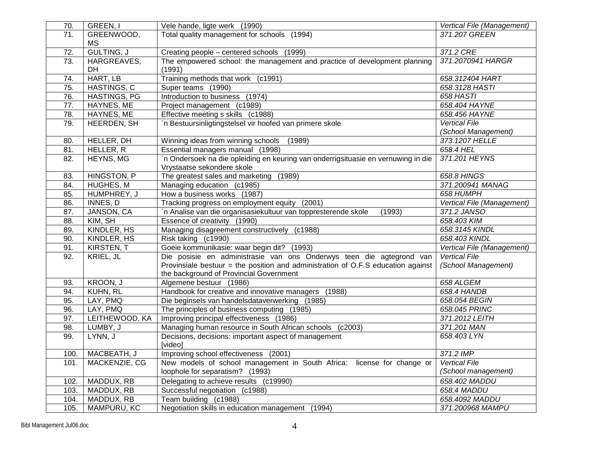| 70.  | GREEN, I            | Vele hande, ligte werk (1990)                                                     | Vertical File (Management) |
|------|---------------------|-----------------------------------------------------------------------------------|----------------------------|
| 71.  | GREENWOOD,          | Total quality management for schools (1994)                                       | 371.207 GREEN              |
|      | МS                  |                                                                                   |                            |
| 72.  | <b>GULTING, J</b>   | Creating people - centered schools (1999)                                         | 371.2 CRE                  |
| 73.  | HARGREAVES,         | The empowered school: the management and practice of development planning         | 371.2070941 HARGR          |
|      | DH                  | (1991)                                                                            |                            |
| 74.  | HART, LB            | Training methods that work (c1991)                                                | 658.312404 HART            |
| 75.  | HASTINGS, C         | Super teams (1990)                                                                | 658.3128 HASTI             |
| 76.  | <b>HASTINGS, PG</b> | Introduction to business (1974)                                                   | <b>658 HASTI</b>           |
| 77.  | HAYNES, ME          | Project management (c1989)                                                        | 658.404 HAYNE              |
| 78.  | HAYNES, ME          | Effective meeting s skills (c1988)                                                | 658.456 HAYNE              |
| 79.  | HEERDEN, SH         | n Bestuursinligtingstelsel vir hoofed van primere skole                           | <b>Vertical File</b>       |
|      |                     |                                                                                   | (School Management)        |
| 80.  | HELLER, DH          | Winning ideas from winning schools<br>(1989)                                      | 373.1207 HELLE             |
| 81.  | HELLER, R           | Essential managers manual (1998)                                                  | 658.4 HEL                  |
| 82.  | HEYNS, MG           | 'n Ondersoek na die opleiding en keuring van onderrigsituasie en vernuwing in die | 371.201 HEYNS              |
|      |                     | Vrystaatse sekondere skole                                                        |                            |
| 83.  | HINGSTON, P         | The greatest sales and marketing (1989)                                           | 658.8 HINGS                |
| 84.  | HUGHES, M           | Managing education (c1985)                                                        | 371.200941 MANAG           |
| 85.  | HUMPHREY, J         | How a business works (1987)                                                       | 658 HUMPH                  |
| 86.  | INNES, D            | Tracking progress on employment equity (2001)                                     | Vertical File (Management) |
| 87.  | JANSON, CA          | n Analise van die organisasiekultuur van toppresterende skole<br>(1993)           | 371.2 JANSO                |
| 88.  | KIM, SH             | Essence of creativity (1990)                                                      | 658.403 KIM                |
| 89.  | KINDLER, HS         | Managing disagreement constructively (c1988)                                      | 658.3145 KINDL             |
| 90.  | KINDLER, HS         | Risk taking (c1990)                                                               | 658.403 KINDL              |
| 91.  | KIRSTEN, T          | Goeie kommunikasie: waar begin dit? (1993)                                        | Vertical File (Management) |
| 92.  | KRIEL, JL           | Die posisie en administrasie van ons Onderwys teen die agtegrond van              | <b>Vertical File</b>       |
|      |                     | Provinsiale bestuur = the position and administration of O.F.S education against  | (School Management)        |
|      |                     | the background of Provincial Government                                           |                            |
| 93.  | KROON, J            | Algemene bestuur (1986)                                                           | 658 ALGEM                  |
| 94.  | KUHN, RL            | Handbook for creative and innovative managers (1988)                              | 658.4 HANDB                |
| 95.  | LAY, PMQ            | Die beginsels van handelsdataverwerking (1985)                                    | 658.054 BEGIN              |
| 96.  | LAY, PMQ            | The principles of business computing (1985)                                       | 658.045 PRINC              |
| 97.  | LEITHEWOOD, KA      | Improving principal effectiveness (1986)                                          | 371.2012 LEITH             |
| 98.  | LUMBY, J            | Managing human resource in South African schools (c2003)                          | 371.201 MAN                |
| 99.  | LYNN, J             | Decisions, decisions: important aspect of management                              | 658.403 LYN                |
|      |                     | [video]                                                                           |                            |
|      | 100.   MACBEATH, J  | Improving school effectiveness (2001)                                             | 371.2 IMP                  |
| 101. | MACKENZIE, CG       | New models of school management in South Africa: license for change or            | <b>Vertical File</b>       |
|      |                     | (School management)<br>loophole for separatism? (1993)                            |                            |
| 102. | MADDUX, RB          | Delegating to achieve results (c19990)                                            | 658.402 MADDU              |
| 103. | MADDUX, RB          | Successful negotiation (c1988)                                                    | 658.4 MADDU                |
| 104. | MADDUX, RB          | Team building (c1988)                                                             | 658.4092 MADDU             |
|      |                     |                                                                                   |                            |
| 105. | MAMPURU, KC         | Negotiation skills in education management (1994)                                 | 371.200968 MAMPU           |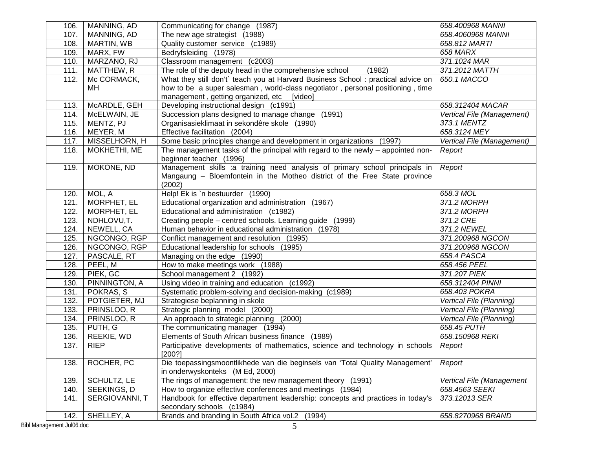| 106. | MANNING, AD    | Communicating for change (1987)                                                                              | 658.400968 MANNI           |
|------|----------------|--------------------------------------------------------------------------------------------------------------|----------------------------|
| 107. | MANNING, AD    | The new age strategist (1988)                                                                                | 658.4060968 MANNI          |
| 108. | MARTIN, WB     | Quality customer service (c1989)                                                                             | 658.812 MARTI              |
| 109. | MARX, FW       | Bedryfsleiding (1978)                                                                                        | 658 MARX                   |
| 110. | MARZANO, RJ    | Classroom management (c2003)                                                                                 | 371.1024 MAR               |
| 111. | MATTHEW, R     | The role of the deputy head in the comprehensive school<br>(1982)                                            | 371.2012 MATTH             |
| 112. | Mc CORMACK,    | What they still don't` teach you at Harvard Business School : practical advice on                            | 650.1 MACCO                |
|      | MН             | how to be a super salesman, world-class negotiator, personal positioning, time                               |                            |
|      |                | management, getting organized, etc<br>[video]                                                                |                            |
| 113. | McARDLE, GEH   | Developing instructional design (c1991)                                                                      | 658.312404 MACAR           |
| 114. | McELWAIN, JE   | Succession plans designed to manage change (1991)                                                            | Vertical File (Management) |
| 115. | MENTZ, PJ      | Organisasieklimaat in sekondêre skole (1990)                                                                 | 373.1 MENTZ                |
| 116. | MEYER, M       | Effective facilitation (2004)                                                                                | 658.3124 MEY               |
| 117. | MISSELHORN, H  | Some basic principles change and development in organizations (1997)                                         | Vertical File (Management) |
| 118. | MOKHETHI, ME   | The management tasks of the principal with regard to the newly - appointed non-                              | Report                     |
|      |                | beginner teacher (1996)                                                                                      |                            |
| 119. | MOKONE, ND     | Management skills :a training need analysis of primary school principals in                                  | Report                     |
|      |                | Mangaung - Bloemfontein in the Motheo district of the Free State province                                    |                            |
|      |                | (2002)                                                                                                       |                            |
| 120. | MOL, A         | Help! Ek is `n bestuurder (1990)                                                                             | 658.3 MOL                  |
| 121. | MORPHET, EL    | Educational organization and administration<br>(1967)                                                        | 371.2 MORPH                |
| 122. | MORPHET, EL    | Educational and administration (c1982)                                                                       | 371.2 MORPH                |
| 123. | NDHLOVU,T.     | Creating people - centred schools. Learning guide (1999)                                                     | 371.2 CRE                  |
| 124. | NEWELL, CA     | 371.2 NEWEL<br>Human behavior in educational administration (1978)                                           |                            |
| 125. | NGCONGO, RGP   | Conflict management and resolution (1995)                                                                    | 371.200968 NGCON           |
| 126. | NGCONGO, RGP   | Educational leadership for schools (1995)                                                                    | 371.200968 NGCON           |
| 127. | PASCALE, RT    | Managing on the edge (1990)                                                                                  | 658.4 PASCA                |
| 128. | PEEL, M        | How to make meetings work (1988)                                                                             | 658.456 PEEL               |
| 129. | PIEK, GC       | School management 2 (1992)                                                                                   | 371.207 PIEK               |
| 130. | PINNINGTON, A  | Using video in training and education (c1992)                                                                | 658.312404 PINNI           |
| 131. | POKRAS, S      | Systematic problem-solving and decision-making (c1989)                                                       | 658.403 POKRA              |
| 132. | POTGIETER, MJ  | Strategiese beplanning in skole                                                                              | Vertical File (Planning)   |
| 133. | PRINSLOO, R    | Strategic planning model (2000)                                                                              | Vertical File (Planning)   |
| 134. | PRINSLOO, R    | An approach to strategic planning (2000)                                                                     | Vertical File (Planning)   |
| 135. | PUTH, G        | The communicating manager (1994)                                                                             | 658.45 PUTH                |
| 136. | REEKIE, WD     | Elements of South African business finance (1989)<br>658.150968 REKI                                         |                            |
| 137. | <b>RIEP</b>    | Participative developments of mathematics, science and technology in schools                                 | Report                     |
|      |                | [200?]                                                                                                       |                            |
| 138. | ROCHER, PC     | Die toepassingsmoontlikhede van die beginsels van 'Total Quality Management'                                 | Report                     |
|      |                | in onderwyskonteks (M Ed, 2000)                                                                              |                            |
| 139. | SCHULTZ, LE    | The rings of management: the new management theory (1991)                                                    | Vertical File (Management  |
| 140. | SEEKINGS, D    | How to organize effective conferences and meetings (1984)                                                    | 658.4563 SEEKI             |
| 141. | SERGIOVANNI, T | Handbook for effective department leadership: concepts and practices in today's<br>secondary schools (c1984) | 373.12013 SER              |
| 142. | SHELLEY, A     | Brands and branding in South Africa vol.2 (1994)                                                             | 658.8270968 BRAND          |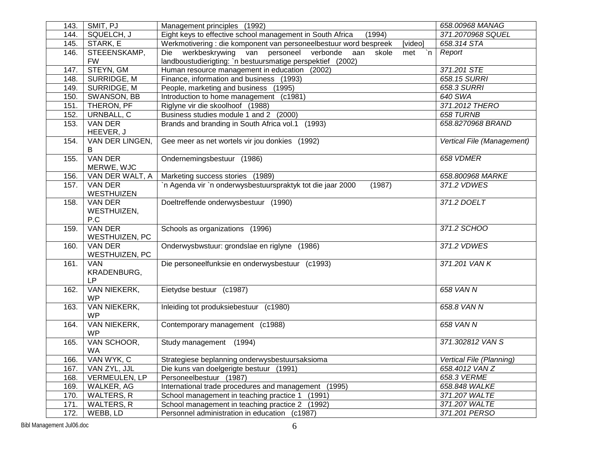| 143. | SMIT, PJ                     | Management principles (1992)                                                        | 658.00968 MANAG            |
|------|------------------------------|-------------------------------------------------------------------------------------|----------------------------|
| 144. | SQUELCH, J                   | Eight keys to effective school management in South Africa<br>(1994)                 | 371.2070968 SQUEL          |
| 145. | STARK, E                     | Werkmotivering : die komponent van personeelbestuur word bespreek<br>[video]        | 658.314 STA                |
| 146. | STEEENSKAMP,                 | Die werkbeskrywing van personeel verbonde<br>aan<br>skole<br>`n<br>met              | Report                     |
|      | <b>FW</b>                    | landboustudierigting: `n bestuursmatige perspektief (2002)                          |                            |
| 147. | STEYN, GM                    | Human resource management in education (2002)                                       | 371.201 STE                |
| 148. | SURRIDGE, M                  | Finance, information and business (1993)                                            | 658.15 SURRI               |
| 149. | SURRIDGE, M                  | People, marketing and business (1995)                                               | 658.3 SURRI                |
| 150. | SWANSON, BB                  | Introduction to home management (c1981)                                             | 640 SWA                    |
| 151. | THERON, PF                   | Riglyne vir die skoolhoof (1988)                                                    | 371.2012 THERO             |
| 152. | URNBALL, C                   | Business studies module 1 and 2 (2000)                                              | 658 TURNB                  |
| 153. | VAN DER                      | Brands and branding in South Africa vol.1 (1993)                                    | 658.8270968 BRAND          |
|      | HEEVER, J                    |                                                                                     |                            |
| 154. | VAN DER LINGEN,              | Gee meer as net wortels vir jou donkies (1992)                                      | Vertical File (Management) |
|      | B                            |                                                                                     |                            |
| 155. | <b>VAN DER</b>               | Ondernemingsbestuur (1986)                                                          | 658 VDMER                  |
|      | MERWE, WJC                   |                                                                                     |                            |
| 156. | VAN DER WALT, A              | Marketing success stories (1989)                                                    | 658.800968 MARKE           |
| 157. | <b>VAN DER</b>               | `n Agenda vir `n onderwysbestuurspraktyk tot die jaar 2000<br>(1987)<br>371.2 VDWES |                            |
|      | WESTHUIZEN                   |                                                                                     |                            |
| 158. | VAN DER                      | Doeltreffende onderwysbestuur (1990)                                                | 371.2 DOELT                |
|      | WESTHUIZEN,                  |                                                                                     |                            |
|      | P.C                          |                                                                                     |                            |
| 159. | <b>VAN DER</b>               | Schools as organizations (1996)                                                     | 371.2 SCHOO                |
|      | WESTHUIZEN, PC               |                                                                                     |                            |
| 160. | <b>VAN DER</b>               | Onderwysbwstuur: grondslae en riglyne (1986)                                        | 371.2 VDWES                |
| 161. | WESTHUIZEN, PC<br><b>VAN</b> | Die personeelfunksie en onderwysbestuur (c1993)<br>371.201 VAN K                    |                            |
|      | KRADENBURG,                  |                                                                                     |                            |
|      | LP                           |                                                                                     |                            |
| 162. | VAN NIEKERK,                 | Eietydse bestuur (c1987)                                                            | 658 VAN N                  |
|      | <b>WP</b>                    |                                                                                     |                            |
| 163. | VAN NIEKERK,                 | Inleiding tot produksiebestuur (c1980)                                              | 658.8 VAN N                |
|      | <b>WP</b>                    |                                                                                     |                            |
| 164. | VAN NIEKERK,                 | Contemporary management (c1988)                                                     | 658 VAN N                  |
|      | <b>WP</b>                    |                                                                                     |                            |
| 165. | VAN SCHOOR,                  | Study management (1994)                                                             | 371.302812 VAN S           |
|      | <b>WA</b>                    |                                                                                     |                            |
| 166. | VAN WYK, C                   | Strategiese beplanning onderwysbestuursaksioma                                      | Vertical File (Planning)   |
| 167. | VAN ZYL, JJL                 | Die kuns van doelgerigte bestuur (1991)                                             | 658.4012 VAN Z             |
| 168. | VERMEULEN, LP                | Personeelbestuur (1987)                                                             | 658.3 VERME                |
| 169. | WALKER, AG                   | International trade procedures and management (1995)                                | 658.848 WALKE              |
| 170. | <b>WALTERS, R</b>            | School management in teaching practice 1 (1991)                                     | 371.207 WALTE              |
| 171. | WALTERS, R                   | School management in teaching practice 2 (1992)                                     | 371.207 WALTE              |
| 172. | WEBB, LD                     | Personnel administration in education (c1987)                                       | 371.201 PERSO              |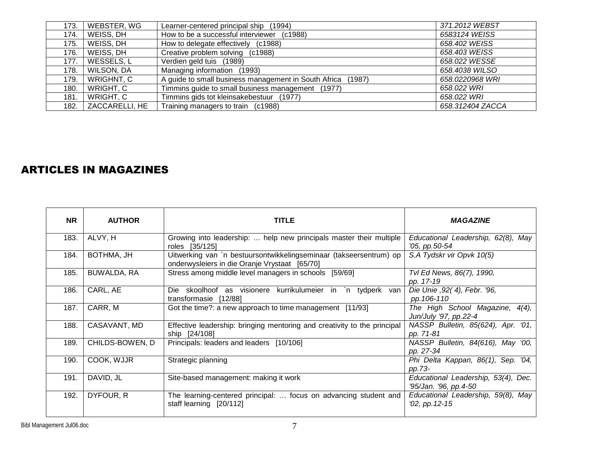| 173. | WEBSTER, WG    | Learner-centered principal ship (1994)                      | 371.2012 WEBST   |
|------|----------------|-------------------------------------------------------------|------------------|
| 174. | WEISS, DH      | How to be a successful interviewer (c1988)                  | 6583124 WEISS    |
| 175. | WEISS, DH      | How to delegate effectively (c1988)                         | 658.402 WEISS    |
| 176. | WEISS, DH      | Creative problem solving (c1988)                            | 658.403 WEISS    |
| 177. | WESSELS, L     | Verdien geld tuis (1989)                                    | 658.022 WESSE    |
| 178. | WILSON, DA     | Managing information (1993)                                 | 658.4038 WILSO   |
| 179. | WRIGHNT, C     | A guide to small business management in South Africa (1987) | 658.0220968 WRI  |
| 180. | WRIGHT, C      | Timmins guide to small business management (1977)           | 658.022 WRI      |
| 181. | WRIGHT, C      | Timmins gids tot kleinsakebestuur (1977)                    | 658.022 WRI      |
| 182. | ZACCARELLI, HE | Training managers to train (c1988)                          | 658.312404 ZACCA |

## ARTICLES IN MAGAZINES

| <b>NR</b> | <b>AUTHOR</b>   | <b>TITLE</b>                                                                                                        | <b>MAGAZINE</b>                                                |
|-----------|-----------------|---------------------------------------------------------------------------------------------------------------------|----------------------------------------------------------------|
| 183.      | ALVY, H         | Growing into leadership:  help new principals master their multiple<br>roles [35/125]                               | Educational Leadership, 62(8), May<br>'05, pp.50-54            |
| 184.      | BOTHMA, JH      | Uitwerking van `n bestuursontwikkelingseminaar (takseersentrum) op<br>onderwysleiers in die Oranje Vrystaat [65/70] | S.A Tydskr vir Opvk 10(5)                                      |
| 185.      | BUWALDA, RA     | Stress among middle level managers in schools [59/69]                                                               | Tvl Ed News, 86(7), 1990,<br>pp. 17-19                         |
| 186.      | CARL, AE        | Die skoolhoof as visionere kurrikulumeier in `n tydperk<br>van<br>transformasie [12/88]                             | Die Unie , 92 (4), Febr. '96,<br>pp.106-110                    |
| 187.      | CARR, M         | Got the time?: a new approach to time management [11/93]                                                            | The High School Magazine,<br>$4(4)$ ,<br>Jun/July '97, pp.22-4 |
| 188.      | CASAVANT, MD    | Effective leadership: bringing mentoring and creativity to the principal<br>ship [24/108]                           | NASSP Bulletin, 85(624), Apr. '01,<br>pp. 71-81                |
| 189.      | CHILDS-BOWEN, D | Principals: leaders and leaders [10/106]                                                                            | NASSP Bulletin, 84(616), May '00,<br>pp. 27-34                 |
| 190.      | COOK, WJJR      | Strategic planning                                                                                                  | Phi Delta Kappan, 86(1), Sep. '04,<br>pp.73-                   |
| 191.      | DAVID, JL       | Site-based management: making it work                                                                               | Educational Leadership, 53(4), Dec.<br>'95/Jan. '96, pp.4-50   |
| 192.      | DYFOUR, R       | The learning-centered principal:  focus on advancing student and<br>staff learning [20/112]                         | Educational Leadership, 59(8), May<br>$'02$ , pp. 12-15        |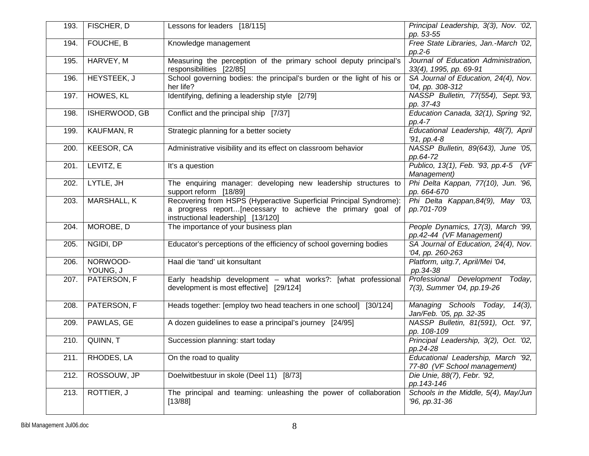| 193. | FISCHER, D           | Lessons for leaders [18/115]                                                                                                                                           | Principal Leadership, 3(3), Nov. '02,<br>pp. 53-55                 |
|------|----------------------|------------------------------------------------------------------------------------------------------------------------------------------------------------------------|--------------------------------------------------------------------|
| 194. | FOUCHE, B            | Knowledge management                                                                                                                                                   | Free State Libraries, Jan.-March '02,<br>$pp.2-6$                  |
| 195. | HARVEY, M            | Measuring the perception of the primary school deputy principal's<br>responsibilities [22/85]                                                                          | Journal of Education Administration,<br>33(4), 1995, pp. 69-91     |
| 196. | HEYSTEEK, J          | School governing bodies: the principal's burden or the light of his or<br>her life?                                                                                    | SA Journal of Education, 24(4), Nov.<br>'04, pp. 308-312           |
| 197. | HOWES, KL            | Identifying, defining a leadership style [2/79]                                                                                                                        | NASSP Bulletin, 77(554), Sept.'93,<br>pp. 37-43                    |
| 198. | ISHERWOOD, GB        | Conflict and the principal ship [7/37]                                                                                                                                 | Education Canada, 32(1), Spring '92,<br>pp.4-7                     |
| 199. | <b>KAUFMAN, R</b>    | Strategic planning for a better society                                                                                                                                | Educational Leadership, 48(7), April<br>'91, pp.4-8                |
| 200. | KEESOR, CA           | Administrative visibility and its effect on classroom behavior                                                                                                         | NASSP Bulletin, 89(643), June '05,<br>pp.64-72                     |
| 201. | LEVITZ, E            | It's a question                                                                                                                                                        | Publico, 13(1), Feb. '93, pp.4-5 (VF<br>Management)                |
| 202. | LYTLE, JH            | The enquiring manager: developing new leadership structures to<br>support reform [18/89]                                                                               | Phi Delta Kappan, 77(10), Jun. '96,<br>pp. 664-670                 |
| 203. | <b>MARSHALL, K</b>   | Recovering from HSPS (Hyperactive Superficial Principal Syndrome):<br>a progress report[necessary to achieve the primary goal of<br>instructional leadership] [13/120] | Phi Delta Kappan, 84(9), May '03,<br>pp.701-709                    |
| 204. | MOROBE, D            | The importance of your business plan                                                                                                                                   | People Dynamics, 17(3), March '99,<br>pp.42-44 (VF Management)     |
| 205. | NGIDI, DP            | Educator's perceptions of the efficiency of school governing bodies                                                                                                    | SA Journal of Education, 24(4), Nov.<br>'04, pp. 260-263           |
| 206. | NORWOOD-<br>YOUNG, J | Haal die 'tand' uit konsultant                                                                                                                                         | Platform, uitg.7, April/Mei '04,<br>pp.34-38                       |
| 207. | PATERSON, F          | Early headship development - what works?: [what professional<br>development is most effective] [29/124]                                                                | Professional Development Today,<br>7(3), Summer '04, pp. 19-26     |
| 208. | PATERSON, F          | Heads together: [employ two head teachers in one school] [30/124]                                                                                                      | Managing Schools Today, 14(3),<br>Jan/Feb. '05, pp. 32-35          |
| 209. | PAWLAS, GE           | A dozen guidelines to ease a principal's journey [24/95]                                                                                                               | NASSP Bulletin, 81(591), Oct. '97,<br>pp. 108-109                  |
| 210. | QUINN, T             | Succession planning: start today                                                                                                                                       | Principal Leadership, 3(2), Oct. '02,<br>pp.24-28                  |
| 211. | RHODES, LA           | On the road to quality                                                                                                                                                 | Educational Leadership, March '92,<br>77-80 (VF School management) |
| 212. | ROSSOUW, JP          | Doelwitbestuur in skole (Deel 11) [8/73]                                                                                                                               | Die Unie, 88(7), Febr. '92,<br>pp. 143-146                         |
| 213. | ROTTIER, J           | The principal and teaming: unleashing the power of collaboration<br>[13/88]                                                                                            | Schools in the Middle, 5(4), May/Jun<br>'96, pp.31-36              |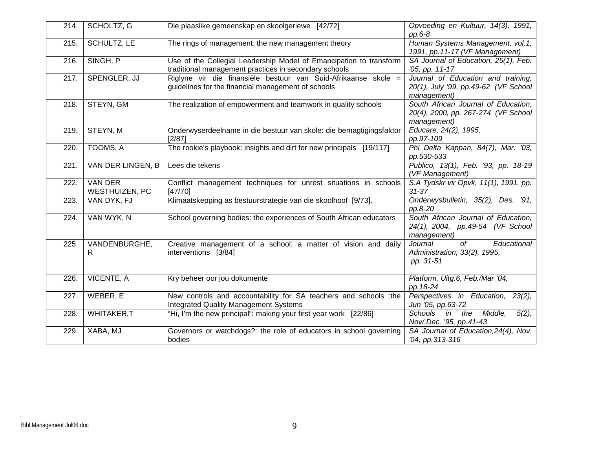| 214. | SCHOLTZ, G                       | Die plaaslike gemeenskap en skoolgeriewe [42/72]                                                                            | Opvoeding en Kultuur, 14(3), 1991,<br>$pp.6-8$                                            |
|------|----------------------------------|-----------------------------------------------------------------------------------------------------------------------------|-------------------------------------------------------------------------------------------|
| 215. | <b>SCHULTZ, LE</b>               | The rings of management: the new management theory                                                                          | Human Systems Management, vol.1,<br>1991, pp.11-17 (VF Management)                        |
| 216. | SINGH, P                         | Use of the Collegial Leadership Model of Emancipation to transform<br>traditional management practices in secondary schools | SA Journal of Education, 25(1), Feb.<br>'05, pp. 11-17                                    |
| 217. | SPENGLER, JJ                     | Riglyne vir die finansiële bestuur van Suid-Afrikaanse skole =<br>guidelines for the financial management of schools        | Journal of Education and training,<br>20(1), July '99, pp.49-62 (VF School<br>management) |
| 218. | STEYN, GM                        | The realization of empowerment and teamwork in quality schools                                                              | South African Journal of Education,<br>20(4), 2000, pp. 267-274 (VF School<br>management) |
| 219. | STEYN, M                         | Onderwyserdeelname in die bestuur van skole: die bemagtigingsfaktor<br>[2/87]                                               | Educare, 24(2), 1995,<br>pp.97-109                                                        |
| 220. | TOOMS, A                         | The rookie's playbook: insights and dirt for new principals [19/117]                                                        | Phi Delta Kappan, 84(7), Mar. '03,<br>pp.530-533                                          |
| 221. | VAN DER LINGEN, B                | Lees die tekens                                                                                                             | Publico, 13(1), Feb. '93, pp. 18-19<br>(VF Management)                                    |
| 222. | <b>VAN DER</b><br>WESTHUIZEN, PC | Conflict management techniques for unrest situations in schools<br>[47/70]                                                  | S.A Tydskr vir Opvk, 11(1), 1991, pp.<br>$31 - 37$                                        |
| 223. | VAN DYK, FJ                      | Klimaatskepping as bestuurstrategie van die skoolhoof [9/73].                                                               | Onderwysbulletin, 35(2), Des. '91,<br>pp.8-20                                             |
| 224. | VAN WYK, N                       | School governing bodies: the experiences of South African educators                                                         | South African Journal of Education,<br>24(1), 2004, pp.49-54 (VF School<br>management)    |
| 225. | VANDENBURGHE,<br>R               | Creative management of a school: a matter of vision and daily<br>interventions [3/84]                                       | $\overline{of}$<br>Journal<br>Educational<br>Administration, 33(2), 1995,<br>pp. 31-51    |
| 226. | VICENTE, A                       | Kry beheer oor jou dokumente                                                                                                | Platform, Uitg.6, Feb./Mar '04,<br>pp. 18-24                                              |
| 227. | WEBER, E                         | New controls and accountability for SA teachers and schools :the<br><b>Integrated Quality Management Systems</b>            | Perspectives in Education, 23(2),<br>Jun '05, pp.63-72                                    |
| 228. | <b>WHITAKER,T</b>                | "Hi, I'm the new principal": making your first year work [22/86]                                                            | in<br>Middle,<br>Schools<br>the<br>$5(2)$ ,<br>Nov/.Dec. '95, pp.41-43                    |
| 229. | XABA, MJ                         | Governors or watchdogs?: the role of educators in school governing<br>bodies                                                | SA Journal of Education, 24(4), Nov.<br>'04, pp.313-316                                   |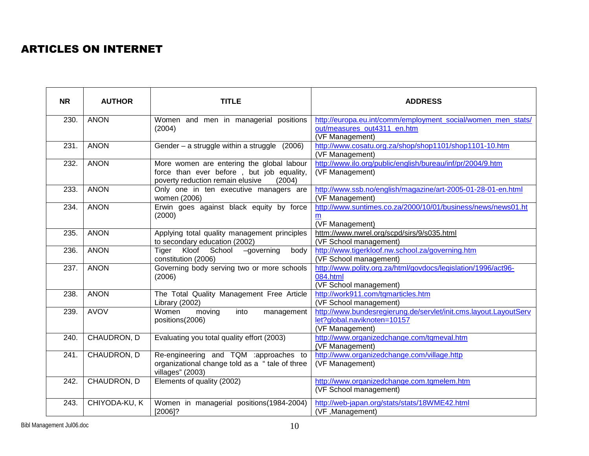## ARTICLES ON INTERNET

| <b>NR</b> | <b>AUTHOR</b> | <b>TITLE</b>                                                                                                                         | <b>ADDRESS</b>                                                                                                     |
|-----------|---------------|--------------------------------------------------------------------------------------------------------------------------------------|--------------------------------------------------------------------------------------------------------------------|
| 230.      | <b>ANON</b>   | Women and men in managerial positions<br>(2004)                                                                                      | http://europa.eu.int/comm/employment_social/women_men_stats/<br>out/measures_out4311_en.htm<br>(VF Management)     |
| 231.      | <b>ANON</b>   | Gender $-$ a struggle within a struggle $(2006)$                                                                                     | http://www.cosatu.org.za/shop/shop1101/shop1101-10.htm<br>(VF Management)                                          |
| 232.      | <b>ANON</b>   | More women are entering the global labour<br>force than ever before, but job equality,<br>poverty reduction remain elusive<br>(2004) | http://www.ilo.org/public/english/bureau/inf/pr/2004/9.htm<br>(VF Management)                                      |
| 233.      | <b>ANON</b>   | Only one in ten executive managers are<br>women (2006)                                                                               | http://www.ssb.no/english/magazine/art-2005-01-28-01-en.html<br>(VF Management)                                    |
| 234.      | <b>ANON</b>   | Erwin goes against black equity by force<br>(2000)                                                                                   | http://www.suntimes.co.za/2000/10/01/business/news/news01.ht<br>(VF Management)                                    |
| 235.      | <b>ANON</b>   | Applying total quality management principles<br>to secondary education (2002)                                                        | httm://www.nwrel.org/scpd/sirs/9/s035.html<br>(VF School management)                                               |
| 236.      | <b>ANON</b>   | Tiger Kloof School<br>$-qoverning$<br>body<br>constitution (2006)                                                                    | http://www.tigerkloof.nw.school.za/governing.htm<br>(VF School management)                                         |
| 237.      | <b>ANON</b>   | Governing body serving two or more schools<br>(2006)                                                                                 | http://www.polity.org.za/html/govdocs/legislation/1996/act96-<br>084.html<br>(VF School management)                |
| 238.      | <b>ANON</b>   | The Total Quality Management Free Article<br>Library (2002)                                                                          | http://work911.com/tqmarticles.htm<br>(VF School management)                                                       |
| 239.      | <b>AVOV</b>   | Women<br>into<br>moving<br>management<br>positions(2006)                                                                             | http://www.bundesregierung.de/servlet/init.cms.layout.LayoutServ<br>let?global.naviknoten=10157<br>(VF Management) |
| 240.      | CHAUDRON, D   | Evaluating you total quality effort (2003)                                                                                           | http://www.organizedchange.com/tqmeval.htm<br>(VF Management)                                                      |
| 241.      | CHAUDRON, D   | Re-engineering and TQM :approaches to<br>organizational change told as a "tale of three<br>villages" (2003)                          | http://www.organizedchange.com/village.http<br>(VF Management)                                                     |
| 242.      | CHAUDRON, D   | Elements of quality (2002)                                                                                                           | http://www.organizedchange.com.tqmelem.htm<br>(VF School management)                                               |
| 243.      | CHIYODA-KU, K | Women in managerial positions (1984-2004)<br>$[2006]$ ?                                                                              | http://web-japan.org/stats/stats/18WME42.html<br>(VF, Management)                                                  |